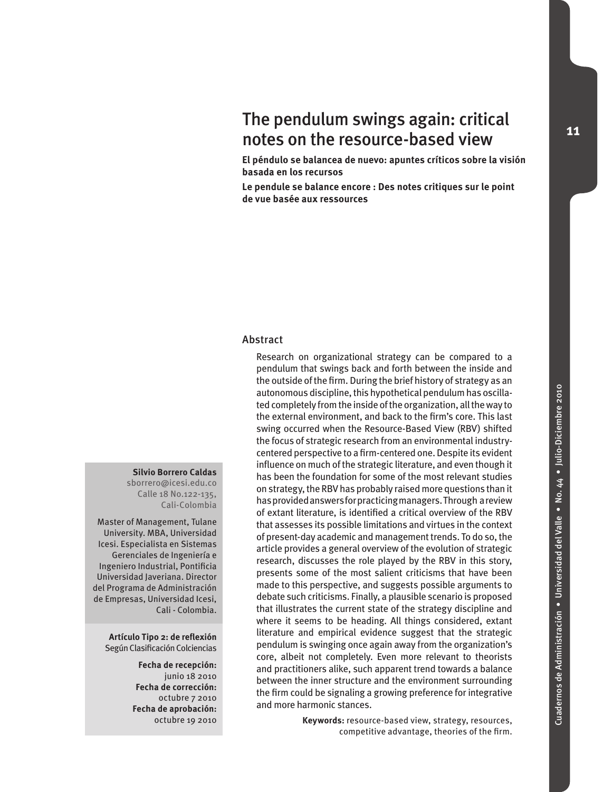# The pendulum swings again: critical notes on the resource-based view

**El péndulo se balancea de nuevo: apuntes críticos sobre la visión basada en los recursos**

**Le pendule se balance encore : Des notes critiques sur le point de vue basée aux ressources**

#### Abstract

Research on organizational strategy can be compared to a pendulum that swings back and forth between the inside and the outside of the firm. During the brief history of strategy as an autonomous discipline, this hypothetical pendulum has oscillated completely from the inside of the organization, all the way to the external environment, and back to the firm's core. This last swing occurred when the Resource-Based View (RBV) shifted the focus of strategic research from an environmental industrycentered perspective to a firm-centered one. Despite its evident influence on much of the strategic literature, and even though it has been the foundation for some of the most relevant studies on strategy, the RBV has probably raised more questions than it has provided answers for practicing managers. Through a review of extant literature, is identified a critical overview of the RBV that assesses its possible limitations and virtues in the context of present-day academic and management trends. To do so, the article provides a general overview of the evolution of strategic research, discusses the role played by the RBV in this story, presents some of the most salient criticisms that have been made to this perspective, and suggests possible arguments to debate such criticisms. Finally, a plausible scenario is proposed that illustrates the current state of the strategy discipline and where it seems to be heading. All things considered, extant literature and empirical evidence suggest that the strategic pendulum is swinging once again away from the organization's core, albeit not completely. Even more relevant to theorists and practitioners alike, such apparent trend towards a balance between the inner structure and the environment surrounding the firm could be signaling a growing preference for integrative and more harmonic stances.

> **Keywords:** resource-based view, strategy, resources, competitive advantage, theories of the firm.

#### **Silvio Borrero Caldas**

sborrero@icesi.edu.co Calle 18 No.122-135, Cali-Colombia

Master of Management, Tulane University. MBA, Universidad Icesi. Especialista en Sistemas Gerenciales de Ingeniería e Ingeniero Industrial, Pontificia Universidad Javeriana. Director del Programa de Administración de Empresas, Universidad Icesi, Cali - Colombia.

**Artículo Tipo 2: de reflexión**  Según Clasificación Colciencias

> **Fecha de recepción:** junio 18 2010 **Fecha de corrección:** octubre 7 2010 **Fecha de aprobación:**  octubre 19 2010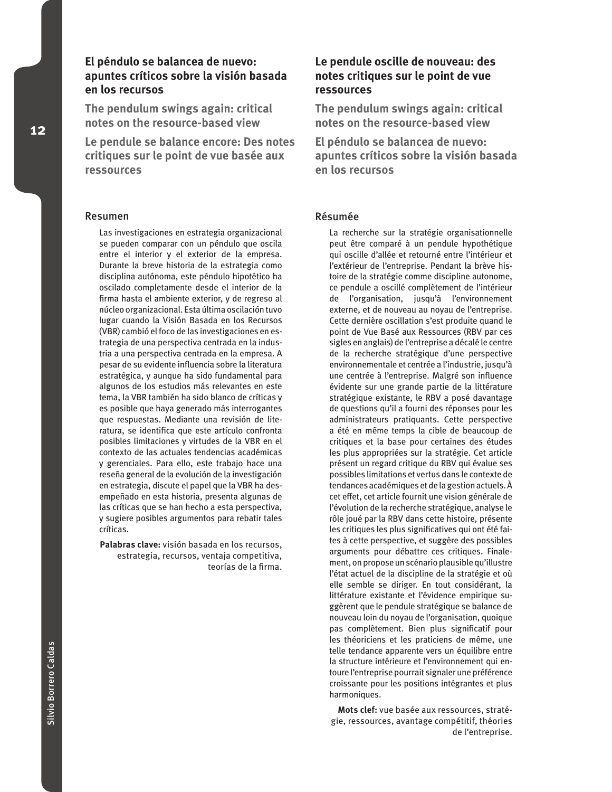# **El péndulo se balancea de nuevo: apuntes críticos sobre la visión basada en los recursos**

**The pendulum swings again: critical notes on the resource-based view**

**Le pendule se balance encore: Des notes critiques sur le point de vue basée aux ressources**

#### Resumen

Las investigaciones en estrategia organizacional se pueden comparar con un péndulo que oscila entre el interior y el exterior de la empresa. Durante la breve historia de la estrategia como disciplina autónoma, este péndulo hipotético ha oscilado completamente desde el interior de la firma hasta el ambiente exterior, y de regreso al núcleo organizacional. Esta última oscilación tuvo lugar cuando la Visión Basada en los Recursos (VBR) cambió el foco de las investigaciones en estrategia de una perspectiva centrada en la industria a una perspectiva centrada en la empresa. A pesar de su evidente influencia sobre la literatura estratégica, y aunque ha sido fundamental para algunos de los estudios más relevantes en este tema, la VBR también ha sido blanco de críticas y es posible que haya generado más interrogantes que respuestas. Mediante una revisión de literatura, se identifica que este artículo confronta posibles limitaciones y virtudes de la VBR en el contexto de las actuales tendencias académicas y gerenciales. Para ello, este trabajo hace una reseña general de la evolución de la investigación en estrategia, discute el papel que la VBR ha desempeñado en esta historia, presenta algunas de las críticas que se han hecho a esta perspectiva, y sugiere posibles argumentos para rebatir tales críticas.

**Palabras clave:** visión basada en los recursos, estrategia, recursos, ventaja competitiva, teorías de la firma.

# **Le pendule oscille de nouveau: des notes critiques sur le point de vue ressources**

**The pendulum swings again: critical notes on the resource-based view**

**El péndulo se balancea de nuevo: apuntes críticos sobre la visión basada en los recursos**

#### Résumée

La recherche sur la stratégie organisationnelle peut être comparé à un pendule hypothétique qui oscille d'allée et retourné entre l'intérieur et l'extérieur de l'entreprise. Pendant la brève histoire de la stratégie comme discipline autonome, ce pendule a oscillé complètement de l'intérieur de l'organisation, jusqu'à l'environnement externe, et de nouveau au noyau de l'entreprise. Cette dernière oscillation s'est produite quand le point de Vue Basé aux Ressources (RBV par ces sigles en anglais) de l'entreprise a décalé le centre de la recherche stratégique d'une perspective environnementale et centrée a l'industrie, jusqu'à une centrée à l'entreprise. Malgré son influence évidente sur une grande partie de la littérature stratégique existante, le RBV a posé davantage de questions qu'il a fourni des réponses pour les administrateurs pratiquants. Cette perspective a été en même temps la cible de beaucoup de critiques et la base pour certaines des études les plus appropriées sur la stratégie. Cet article présent un regard critique du RBV qui évalue ses possibles limitations et vertus dans le contexte de tendances académiques et de la gestion actuels. À cet effet, cet article fournit une vision générale de l'évolution de la recherche stratégique, analyse le rôle joué par la RBV dans cette histoire, présente les critiques les plus significatives qui ont été faites à cette perspective, et suggère des possibles arguments pour débattre ces critiques. Finalement, on propose un scénario plausible qu'illustre l'état actuel de la discipline de la stratégie et où elle semble se diriger. En tout considérant, la littérature existante et l'évidence empirique suggèrent que le pendule stratégique se balance de nouveau loin du noyau de l'organisation, quoique pas complètement. Bien plus significatif pour les théoriciens et les praticiens de même, une telle tendance apparente vers un équilibre entre la structure intérieure et l'environnement qui entoure l'entreprise pourrait signaler une préférence croissante pour les positions intégrantes et plus harmoniques.

**Mots clef:** vue basée aux ressources, stratégie, ressources, avantage compétitif, théories de l'entreprise.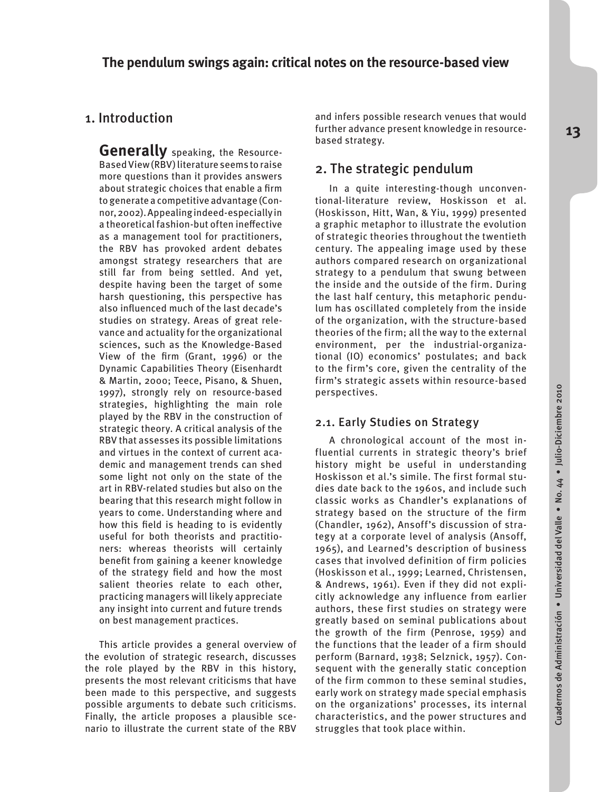# 1. Introduction

**Generally** speaking, the Resource-Based View (RBV) literature seems to raise more questions than it provides answers about strategic choices that enable a firm to generate a competitive advantage (Connor, 2002). Appealing indeed-especially in a theoretical fashion-but often ineffective as a management tool for practitioners, the RBV has provoked ardent debates amongst strategy researchers that are still far from being settled. And yet, despite having been the target of some harsh questioning, this perspective has also influenced much of the last decade's studies on strategy. Areas of great relevance and actuality for the organizational sciences, such as the Knowledge-Based View of the firm (Grant, 1996) or the Dynamic Capabilities Theory (Eisenhardt & Martin, 2000; Teece, Pisano, & Shuen, 1997), strongly rely on resource-based strategies, highlighting the main role played by the RBV in the construction of strategic theory. A critical analysis of the RBV that assesses its possible limitations and virtues in the context of current academic and management trends can shed some light not only on the state of the art in RBV-related studies but also on the bearing that this research might follow in years to come. Understanding where and how this field is heading to is evidently useful for both theorists and practitioners: whereas theorists will certainly benefit from gaining a keener knowledge of the strategy field and how the most salient theories relate to each other, practicing managers will likely appreciate any insight into current and future trends on best management practices.

This article provides a general overview of the evolution of strategic research, discusses the role played by the RBV in this history, presents the most relevant criticisms that have been made to this perspective, and suggests possible arguments to debate such criticisms. Finally, the article proposes a plausible scenario to illustrate the current state of the RBV

and infers possible research venues that would further advance present knowledge in resourcebased strategy.

# 2. The strategic pendulum

In a quite interesting-though unconventional-literature review, Hoskisson et al. (Hoskisson, Hitt, Wan, & Yiu, 1999) presented a graphic metaphor to illustrate the evolution of strategic theories throughout the twentieth century. The appealing image used by these authors compared research on organizational strategy to a pendulum that swung between the inside and the outside of the firm. During the last half century, this metaphoric pendulum has oscillated completely from the inside of the organization, with the structure-based theories of the firm; all the way to the external environment, per the industrial-organizational (IO) economics' postulates; and back to the firm's core, given the centrality of the firm's strategic assets within resource-based perspectives.

#### 2.1. Early Studies on Strategy

A chronological account of the most influential currents in strategic theory's brief history might be useful in understanding Hoskisson et al.'s simile. The first formal studies date back to the 1960s, and include such classic works as Chandler's explanations of strategy based on the structure of the firm (Chandler, 1962), Ansoff's discussion of strategy at a corporate level of analysis (Ansoff, 1965), and Learned's description of business cases that involved definition of firm policies (Hoskisson et al., 1999; Learned, Christensen, & Andrews, 1961). Even if they did not explicitly acknowledge any influence from earlier authors, these first studies on strategy were greatly based on seminal publications about the growth of the firm (Penrose, 1959) and the functions that the leader of a firm should perform (Barnard, 1938; Selznick, 1957). Consequent with the generally static conception of the firm common to these seminal studies, early work on strategy made special emphasis on the organizations' processes, its internal characteristics, and the power structures and struggles that took place within.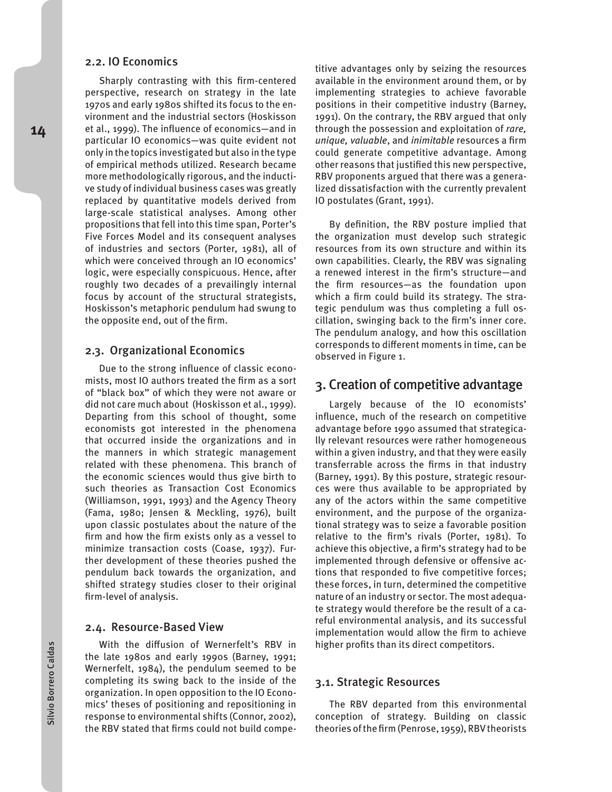#### 2.2. IO Economics

Sharply contrasting with this firm-centered perspective, research on strategy in the late 1970s and early 1980s shifted its focus to the environment and the industrial sectors (Hoskisson et al., 1999). The influence of economics—and in particular IO economics—was quite evident not only in the topics investigated but also in the type of empirical methods utilized. Research became more methodologically rigorous, and the inductive study of individual business cases was greatly replaced by quantitative models derived from large-scale statistical analyses. Among other propositions that fell into this time span, Porter's Five Forces Model and its consequent analyses of industries and sectors (Porter, 1981), all of which were conceived through an IO economics' logic, were especially conspicuous. Hence, after roughly two decades of a prevailingly internal focus by account of the structural strategists, Hoskisson's metaphoric pendulum had swung to the opposite end, out of the firm.

#### 2.3. Organizational Economics

Due to the strong influence of classic economists, most IO authors treated the firm as a sort of "black box" of which they were not aware or did not care much about (Hoskisson et al., 1999). Departing from this school of thought, some economists got interested in the phenomena that occurred inside the organizations and in the manners in which strategic management related with these phenomena. This branch of the economic sciences would thus give birth to such theories as Transaction Cost Economics (Williamson, 1991, 1993) and the Agency Theory (Fama, 1980; Jensen & Meckling, 1976), built upon classic postulates about the nature of the firm and how the firm exists only as a vessel to minimize transaction costs (Coase, 1937). Further development of these theories pushed the pendulum back towards the organization, and shifted strategy studies closer to their original firm-level of analysis.

#### 2.4. Resource-Based View

With the diffusion of Wernerfelt's RBV in the late 1980s and early 1990s (Barney, 1991; Wernerfelt, 1984), the pendulum seemed to be completing its swing back to the inside of the organization. In open opposition to the IO Economics' theses of positioning and repositioning in response to environmental shifts (Connor, 2002), the RBV stated that firms could not build compe-

titive advantages only by seizing the resources available in the environment around them, or by implementing strategies to achieve favorable positions in their competitive industry (Barney, 1991). On the contrary, the RBV argued that only through the possession and exploitation of *rare, unique, valuable*, and *inimitable* resources a firm could generate competitive advantage. Among other reasons that justified this new perspective, RBV proponents argued that there was a generalized dissatisfaction with the currently prevalent IO postulates (Grant, 1991).

By definition, the RBV posture implied that the organization must develop such strategic resources from its own structure and within its own capabilities. Clearly, the RBV was signaling a renewed interest in the firm's structure—and the firm resources—as the foundation upon which a firm could build its strategy. The strategic pendulum was thus completing a full oscillation, swinging back to the firm's inner core. The pendulum analogy, and how this oscillation corresponds to different moments in time, can be observed in Figure 1.

### 3. Creation of competitive advantage

Largely because of the IO economists' influence, much of the research on competitive advantage before 1990 assumed that strategically relevant resources were rather homogeneous within a given industry, and that they were easily transferrable across the firms in that industry (Barney, 1991). By this posture, strategic resources were thus available to be appropriated by any of the actors within the same competitive environment, and the purpose of the organizational strategy was to seize a favorable position relative to the firm's rivals (Porter, 1981). To achieve this objective, a firm's strategy had to be implemented through defensive or offensive actions that responded to five competitive forces; these forces, in turn, determined the competitive nature of an industry or sector. The most adequate strategy would therefore be the result of a careful environmental analysis, and its successful implementation would allow the firm to achieve higher profits than its direct competitors.

#### 3.1. Strategic Resources

The RBV departed from this environmental conception of strategy. Building on classic theories of the firm (Penrose, 1959), RBV theorists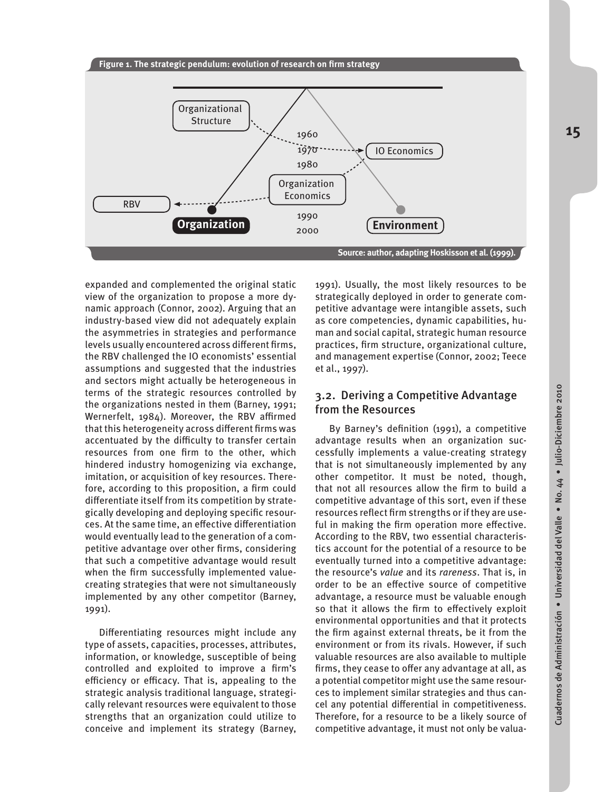

expanded and complemented the original static view of the organization to propose a more dynamic approach (Connor, 2002). Arguing that an industry-based view did not adequately explain the asymmetries in strategies and performance levels usually encountered across different firms, the RBV challenged the IO economists' essential assumptions and suggested that the industries and sectors might actually be heterogeneous in terms of the strategic resources controlled by the organizations nested in them (Barney, 1991; Wernerfelt, 1984). Moreover, the RBV affirmed that this heterogeneity across different firms was accentuated by the difficulty to transfer certain resources from one firm to the other, which hindered industry homogenizing via exchange, imitation, or acquisition of key resources. Therefore, according to this proposition, a firm could differentiate itself from its competition by strategically developing and deploying specific resources. At the same time, an effective differentiation would eventually lead to the generation of a competitive advantage over other firms, considering that such a competitive advantage would result when the firm successfully implemented valuecreating strategies that were not simultaneously implemented by any other competitor (Barney, 1991).

Differentiating resources might include any type of assets, capacities, processes, attributes, information, or knowledge, susceptible of being controlled and exploited to improve a firm's efficiency or efficacy. That is, appealing to the strategic analysis traditional language, strategically relevant resources were equivalent to those strengths that an organization could utilize to conceive and implement its strategy (Barney,

1991). Usually, the most likely resources to be strategically deployed in order to generate competitive advantage were intangible assets, such as core competencies, dynamic capabilities, human and social capital, strategic human resource practices, firm structure, organizational culture, and management expertise (Connor, 2002; Teece et al., 1997).

### 3.2. Deriving a Competitive Advantage from the Resources

By Barney's definition (1991), a competitive advantage results when an organization successfully implements a value-creating strategy that is not simultaneously implemented by any other competitor. It must be noted, though, that not all resources allow the firm to build a competitive advantage of this sort, even if these resources reflect firm strengths or if they are useful in making the firm operation more effective. According to the RBV, two essential characteristics account for the potential of a resource to be eventually turned into a competitive advantage: the resource's *value* and its *rareness*. That is, in order to be an effective source of competitive advantage, a resource must be valuable enough so that it allows the firm to effectively exploit environmental opportunities and that it protects the firm against external threats, be it from the environment or from its rivals. However, if such valuable resources are also available to multiple firms, they cease to offer any advantage at all, as a potential competitor might use the same resources to implement similar strategies and thus cancel any potential differential in competitiveness. Therefore, for a resource to be a likely source of competitive advantage, it must not only be valua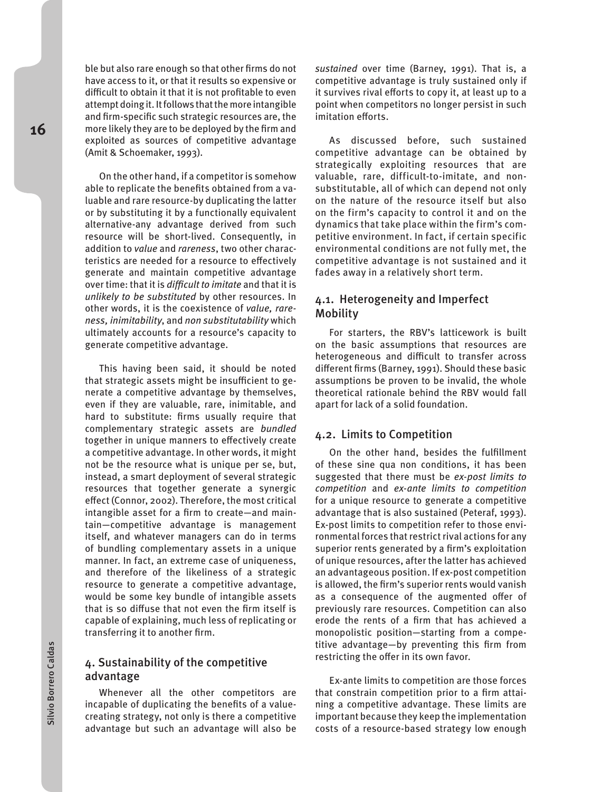ble but also rare enough so that other firms do not have access to it, or that it results so expensive or difficult to obtain it that it is not profitable to even attempt doing it. It follows that the more intangible and firm-specific such strategic resources are, the more likely they are to be deployed by the firm and exploited as sources of competitive advantage (Amit & Schoemaker, 1993).

On the other hand, if a competitor is somehow able to replicate the benefits obtained from a valuable and rare resource-by duplicating the latter or by substituting it by a functionally equivalent alternative-any advantage derived from such resource will be short-lived. Consequently, in addition to *value* and *rareness*, two other characteristics are needed for a resource to effectively generate and maintain competitive advantage over time: that it is *difficult to imitate* and that it is *unlikely to be substituted* by other resources. In other words, it is the coexistence of *value, rareness, inimitability*, and *non substitutability* which ultimately accounts for a resource's capacity to generate competitive advantage.

This having been said, it should be noted that strategic assets might be insufficient to generate a competitive advantage by themselves, even if they are valuable, rare, inimitable, and hard to substitute: firms usually require that complementary strategic assets are *bundled*  together in unique manners to effectively create a competitive advantage. In other words, it might not be the resource what is unique per se, but, instead, a smart deployment of several strategic resources that together generate a synergic effect (Connor, 2002). Therefore, the most critical intangible asset for a firm to create—and maintain—competitive advantage is management itself, and whatever managers can do in terms of bundling complementary assets in a unique manner. In fact, an extreme case of uniqueness, and therefore of the likeliness of a strategic resource to generate a competitive advantage, would be some key bundle of intangible assets that is so diffuse that not even the firm itself is capable of explaining, much less of replicating or transferring it to another firm.

### 4. Sustainability of the competitive advantage

Whenever all the other competitors are incapable of duplicating the benefits of a valuecreating strategy, not only is there a competitive advantage but such an advantage will also be *sustained* over time (Barney, 1991). That is, a competitive advantage is truly sustained only if it survives rival efforts to copy it, at least up to a point when competitors no longer persist in such imitation efforts.

As discussed before, such sustained competitive advantage can be obtained by strategically exploiting resources that are valuable, rare, difficult-to-imitate, and nonsubstitutable, all of which can depend not only on the nature of the resource itself but also on the firm's capacity to control it and on the dynamics that take place within the firm's competitive environment. In fact, if certain specific environmental conditions are not fully met, the competitive advantage is not sustained and it fades away in a relatively short term.

#### 4.1. Heterogeneity and Imperfect Mobility

For starters, the RBV's latticework is built on the basic assumptions that resources are heterogeneous and difficult to transfer across different firms (Barney, 1991). Should these basic assumptions be proven to be invalid, the whole theoretical rationale behind the RBV would fall apart for lack of a solid foundation.

#### 4.2. Limits to Competition

On the other hand, besides the fulfillment of these sine qua non conditions, it has been suggested that there must be *ex-post limits to competition* and *ex-ante limits to competition* for a unique resource to generate a competitive advantage that is also sustained (Peteraf, 1993). Ex-post limits to competition refer to those environmental forces that restrict rival actions for any superior rents generated by a firm's exploitation of unique resources, after the latter has achieved an advantageous position. If ex-post competition is allowed, the firm's superior rents would vanish as a consequence of the augmented offer of previously rare resources. Competition can also erode the rents of a firm that has achieved a monopolistic position—starting from a competitive advantage—by preventing this firm from restricting the offer in its own favor.

Ex-ante limits to competition are those forces that constrain competition prior to a firm attaining a competitive advantage. These limits are important because they keep the implementation costs of a resource-based strategy low enough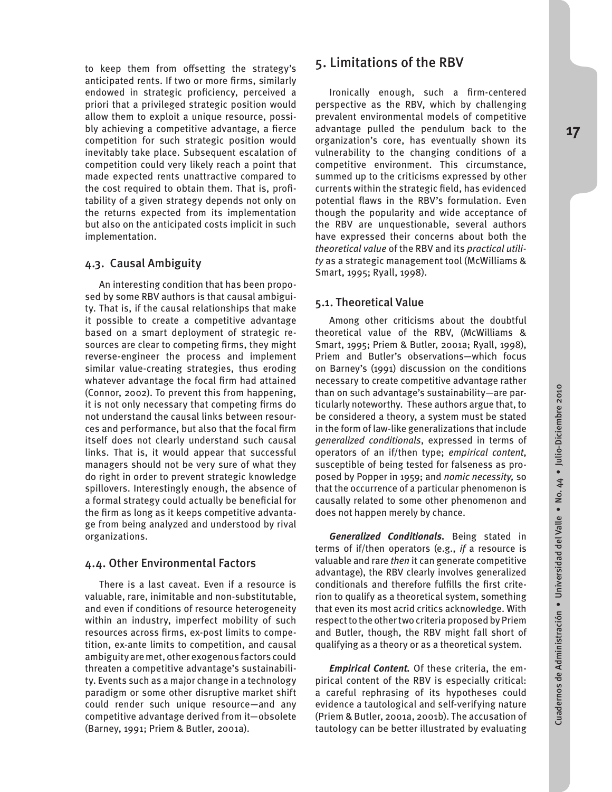to keep them from offsetting the strategy's anticipated rents. If two or more firms, similarly endowed in strategic proficiency, perceived a priori that a privileged strategic position would allow them to exploit a unique resource, possibly achieving a competitive advantage, a fierce competition for such strategic position would inevitably take place. Subsequent escalation of competition could very likely reach a point that made expected rents unattractive compared to the cost required to obtain them. That is, profitability of a given strategy depends not only on the returns expected from its implementation but also on the anticipated costs implicit in such implementation.

### 4.3. Causal Ambiguity

An interesting condition that has been proposed by some RBV authors is that causal ambiguity. That is, if the causal relationships that make it possible to create a competitive advantage based on a smart deployment of strategic resources are clear to competing firms, they might reverse-engineer the process and implement similar value-creating strategies, thus eroding whatever advantage the focal firm had attained (Connor, 2002). To prevent this from happening, it is not only necessary that competing firms do not understand the causal links between resources and performance, but also that the focal firm itself does not clearly understand such causal links. That is, it would appear that successful managers should not be very sure of what they do right in order to prevent strategic knowledge spillovers. Interestingly enough, the absence of a formal strategy could actually be beneficial for the firm as long as it keeps competitive advantage from being analyzed and understood by rival organizations.

#### 4.4. Other Environmental Factors

There is a last caveat. Even if a resource is valuable, rare, inimitable and non-substitutable, and even if conditions of resource heterogeneity within an industry, imperfect mobility of such resources across firms, ex-post limits to competition, ex-ante limits to competition, and causal ambiguity are met, other exogenous factors could threaten a competitive advantage's sustainability. Events such as a major change in a technology paradigm or some other disruptive market shift could render such unique resource—and any competitive advantage derived from it—obsolete (Barney, 1991; Priem & Butler, 2001a).

# 5. Limitations of the RBV

Ironically enough, such a firm-centered perspective as the RBV, which by challenging prevalent environmental models of competitive advantage pulled the pendulum back to the organization's core, has eventually shown its vulnerability to the changing conditions of a competitive environment. This circumstance, summed up to the criticisms expressed by other currents within the strategic field, has evidenced potential flaws in the RBV's formulation. Even though the popularity and wide acceptance of the RBV are unquestionable, several authors have expressed their concerns about both the *theoretical value* of the RBV and its *practical utility* as a strategic management tool (McWilliams & Smart, 1995; Ryall, 1998).

### 5.1. Theoretical Value

Among other criticisms about the doubtful theoretical value of the RBV, (McWilliams & Smart, 1995; Priem & Butler, 2001a; Ryall, 1998), Priem and Butler's observations—which focus on Barney's (1991) discussion on the conditions necessary to create competitive advantage rather than on such advantage's sustainability—are particularly noteworthy. These authors argue that, to be considered a theory, a system must be stated in the form of law-like generalizations that include *generalized conditionals*, expressed in terms of operators of an if/then type; *empirical content*, susceptible of being tested for falseness as proposed by Popper in 1959; and *nomic necessity,* so that the occurrence of a particular phenomenon is causally related to some other phenomenon and does not happen merely by chance.

*Generalized Conditionals.* Being stated in terms of if/then operators (e.g., *if* a resource is valuable and rare *then* it can generate competitive advantage), the RBV clearly involves generalized conditionals and therefore fulfills the first criterion to qualify as a theoretical system, something that even its most acrid critics acknowledge. With respect to the other two criteria proposed by Priem and Butler, though, the RBV might fall short of qualifying as a theory or as a theoretical system.

*Empirical Content.* Of these criteria, the empirical content of the RBV is especially critical: a careful rephrasing of its hypotheses could evidence a tautological and self-verifying nature (Priem & Butler, 2001a, 2001b). The accusation of tautology can be better illustrated by evaluating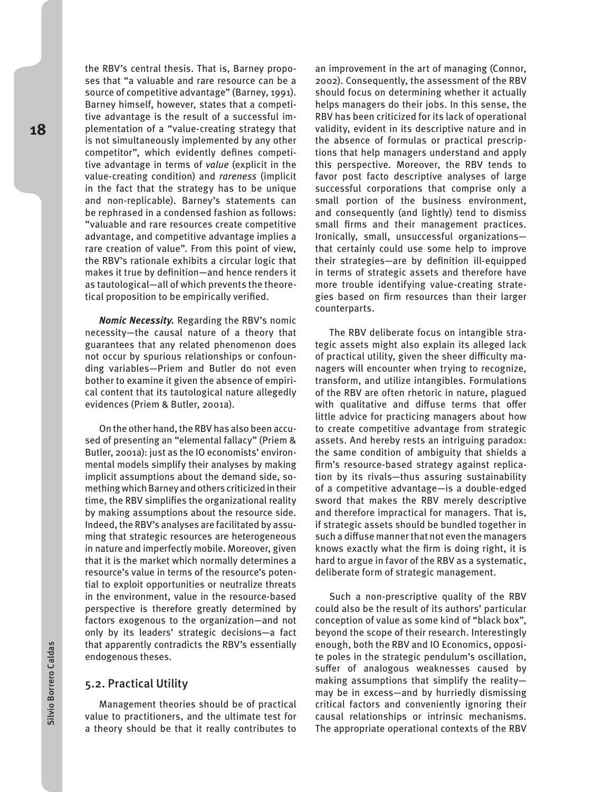the RBV's central thesis. That is, Barney proposes that "a valuable and rare resource can be a source of competitive advantage" (Barney, 1991). Barney himself, however, states that a competitive advantage is the result of a successful implementation of a "value-creating strategy that is not simultaneously implemented by any other competitor", which evidently defines competitive advantage in terms of *value* (explicit in the value-creating condition) and *rareness* (implicit in the fact that the strategy has to be unique and non-replicable). Barney's statements can be rephrased in a condensed fashion as follows: "valuable and rare resources create competitive advantage, and competitive advantage implies a rare creation of value". From this point of view, the RBV's rationale exhibits a circular logic that makes it true by definition—and hence renders it as tautological—all of which prevents the theoretical proposition to be empirically verified.

*Nomic Necessity.* Regarding the RBV's nomic necessity—the causal nature of a theory that guarantees that any related phenomenon does not occur by spurious relationships or confounding variables—Priem and Butler do not even bother to examine it given the absence of empirical content that its tautological nature allegedly evidences (Priem & Butler, 2001a).

On the other hand, the RBV has also been accused of presenting an "elemental fallacy" (Priem & Butler, 2001a): just as the IO economists' environmental models simplify their analyses by making implicit assumptions about the demand side, something which Barney and others criticized in their time, the RBV simplifies the organizational reality by making assumptions about the resource side. Indeed, the RBV's analyses are facilitated by assuming that strategic resources are heterogeneous in nature and imperfectly mobile. Moreover, given that it is the market which normally determines a resource's value in terms of the resource's potential to exploit opportunities or neutralize threats in the environment, value in the resource-based perspective is therefore greatly determined by factors exogenous to the organization—and not only by its leaders' strategic decisions—a fact that apparently contradicts the RBV's essentially endogenous theses.

#### 5.2. Practical Utility

Management theories should be of practical value to practitioners, and the ultimate test for a theory should be that it really contributes to

an improvement in the art of managing (Connor, 2002). Consequently, the assessment of the RBV should focus on determining whether it actually helps managers do their jobs. In this sense, the RBV has been criticized for its lack of operational validity, evident in its descriptive nature and in the absence of formulas or practical prescriptions that help managers understand and apply this perspective. Moreover, the RBV tends to favor post facto descriptive analyses of large successful corporations that comprise only a small portion of the business environment, and consequently (and lightly) tend to dismiss small firms and their management practices. Ironically, small, unsuccessful organizations that certainly could use some help to improve their strategies—are by definition ill-equipped in terms of strategic assets and therefore have more trouble identifying value-creating strategies based on firm resources than their larger counterparts.

The RBV deliberate focus on intangible strategic assets might also explain its alleged lack of practical utility, given the sheer difficulty managers will encounter when trying to recognize, transform, and utilize intangibles. Formulations of the RBV are often rhetoric in nature, plagued with qualitative and diffuse terms that offer little advice for practicing managers about how to create competitive advantage from strategic assets. And hereby rests an intriguing paradox: the same condition of ambiguity that shields a firm's resource-based strategy against replication by its rivals—thus assuring sustainability of a competitive advantage—is a double-edged sword that makes the RBV merely descriptive and therefore impractical for managers. That is, if strategic assets should be bundled together in such a diffuse manner that not even the managers knows exactly what the firm is doing right, it is hard to argue in favor of the RBV as a systematic, deliberate form of strategic management.

Such a non-prescriptive quality of the RBV could also be the result of its authors' particular conception of value as some kind of "black box", beyond the scope of their research. Interestingly enough, both the RBV and IO Economics, opposite poles in the strategic pendulum's oscillation, suffer of analogous weaknesses caused by making assumptions that simplify the reality may be in excess—and by hurriedly dismissing critical factors and conveniently ignoring their causal relationships or intrinsic mechanisms. The appropriate operational contexts of the RBV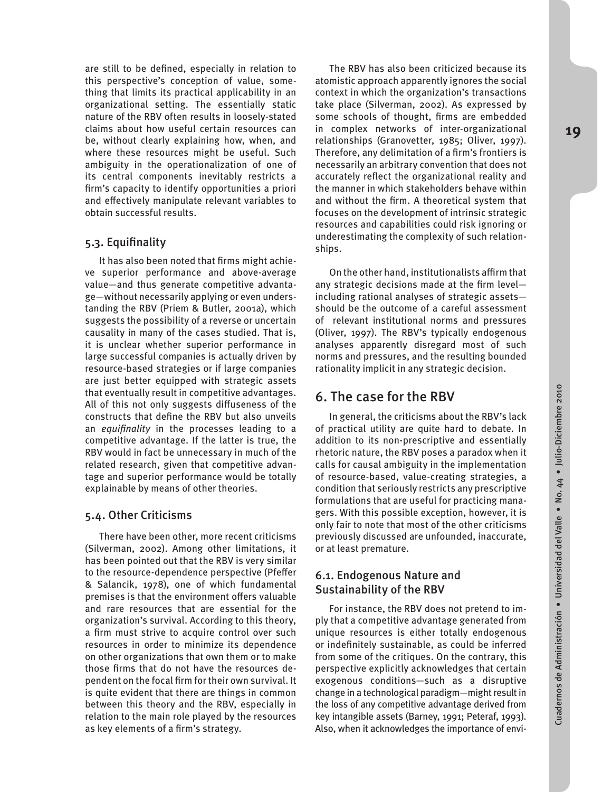are still to be defined, especially in relation to this perspective's conception of value, something that limits its practical applicability in an organizational setting. The essentially static nature of the RBV often results in loosely-stated claims about how useful certain resources can be, without clearly explaining how, when, and where these resources might be useful. Such ambiguity in the operationalization of one of its central components inevitably restricts a firm's capacity to identify opportunities a priori and effectively manipulate relevant variables to obtain successful results.

### 5.3. Equifinality

It has also been noted that firms might achieve superior performance and above-average value—and thus generate competitive advantage—without necessarily applying or even understanding the RBV (Priem & Butler, 2001a), which suggests the possibility of a reverse or uncertain causality in many of the cases studied. That is, it is unclear whether superior performance in large successful companies is actually driven by resource-based strategies or if large companies are just better equipped with strategic assets that eventually result in competitive advantages. All of this not only suggests diffuseness of the constructs that define the RBV but also unveils an *equifinality* in the processes leading to a competitive advantage. If the latter is true, the RBV would in fact be unnecessary in much of the related research, given that competitive advantage and superior performance would be totally explainable by means of other theories.

#### 5.4. Other Criticisms

There have been other, more recent criticisms (Silverman, 2002). Among other limitations, it has been pointed out that the RBV is very similar to the resource-dependence perspective (Pfeffer & Salancik, 1978), one of which fundamental premises is that the environment offers valuable and rare resources that are essential for the organization's survival. According to this theory, a firm must strive to acquire control over such resources in order to minimize its dependence on other organizations that own them or to make those firms that do not have the resources dependent on the focal firm for their own survival. It is quite evident that there are things in common between this theory and the RBV, especially in relation to the main role played by the resources as key elements of a firm's strategy.

The RBV has also been criticized because its atomistic approach apparently ignores the social context in which the organization's transactions take place (Silverman, 2002). As expressed by some schools of thought, firms are embedded in complex networks of inter-organizational relationships (Granovetter, 1985; Oliver, 1997). Therefore, any delimitation of a firm's frontiers is necessarily an arbitrary convention that does not accurately reflect the organizational reality and the manner in which stakeholders behave within and without the firm. A theoretical system that focuses on the development of intrinsic strategic resources and capabilities could risk ignoring or underestimating the complexity of such relationships.

On the other hand, institutionalists affirm that any strategic decisions made at the firm level including rational analyses of strategic assets should be the outcome of a careful assessment of relevant institutional norms and pressures (Oliver, 1997). The RBV's typically endogenous analyses apparently disregard most of such norms and pressures, and the resulting bounded rationality implicit in any strategic decision.

## 6. The case for the RBV

In general, the criticisms about the RBV's lack of practical utility are quite hard to debate. In addition to its non-prescriptive and essentially rhetoric nature, the RBV poses a paradox when it calls for causal ambiguity in the implementation of resource-based, value-creating strategies, a condition that seriously restricts any prescriptive formulations that are useful for practicing managers. With this possible exception, however, it is only fair to note that most of the other criticisms previously discussed are unfounded, inaccurate, or at least premature.

### 6.1. Endogenous Nature and Sustainability of the RBV

For instance, the RBV does not pretend to imply that a competitive advantage generated from unique resources is either totally endogenous or indefinitely sustainable, as could be inferred from some of the critiques. On the contrary, this perspective explicitly acknowledges that certain exogenous conditions—such as a disruptive change in a technological paradigm—might result in the loss of any competitive advantage derived from key intangible assets (Barney, 1991; Peteraf, 1993). Also, when it acknowledges the importance of envi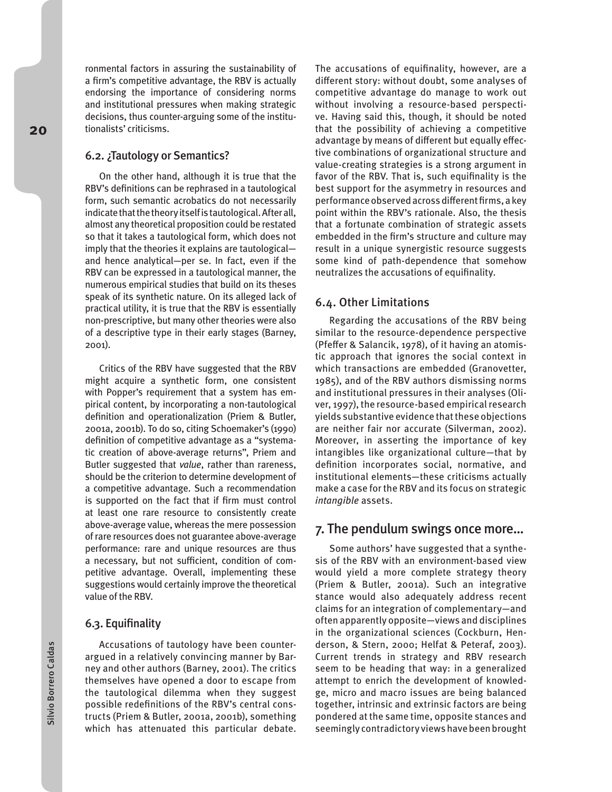ronmental factors in assuring the sustainability of a firm's competitive advantage, the RBV is actually endorsing the importance of considering norms and institutional pressures when making strategic decisions, thus counter-arguing some of the institutionalists' criticisms.

#### 6.2. ¿Tautology or Semantics?

On the other hand, although it is true that the RBV's definitions can be rephrased in a tautological form, such semantic acrobatics do not necessarily indicate that the theory itself is tautological. After all, almost any theoretical proposition could be restated so that it takes a tautological form, which does not imply that the theories it explains are tautological and hence analytical—per se. In fact, even if the RBV can be expressed in a tautological manner, the numerous empirical studies that build on its theses speak of its synthetic nature. On its alleged lack of practical utility, it is true that the RBV is essentially non-prescriptive, but many other theories were also of a descriptive type in their early stages (Barney, 2001).

Critics of the RBV have suggested that the RBV might acquire a synthetic form, one consistent with Popper's requirement that a system has empirical content, by incorporating a non-tautological definition and operationalization (Priem & Butler, 2001a, 2001b). To do so, citing Schoemaker's (1990) definition of competitive advantage as a "systematic creation of above-average returns", Priem and Butler suggested that *value*, rather than rareness, should be the criterion to determine development of a competitive advantage. Such a recommendation is supported on the fact that if firm must control at least one rare resource to consistently create above-average value, whereas the mere possession of rare resources does not guarantee above-average performance: rare and unique resources are thus a necessary, but not sufficient, condition of competitive advantage. Overall, implementing these suggestions would certainly improve the theoretical value of the RBV.

#### 6.3. Equifinality

Accusations of tautology have been counterargued in a relatively convincing manner by Barney and other authors (Barney, 2001). The critics themselves have opened a door to escape from the tautological dilemma when they suggest possible redefinitions of the RBV's central constructs (Priem & Butler, 2001a, 2001b), something which has attenuated this particular debate. The accusations of equifinality, however, are a different story: without doubt, some analyses of competitive advantage do manage to work out without involving a resource-based perspective. Having said this, though, it should be noted that the possibility of achieving a competitive advantage by means of different but equally effective combinations of organizational structure and value-creating strategies is a strong argument in favor of the RBV. That is, such equifinality is the best support for the asymmetry in resources and performance observed across different firms, a key point within the RBV's rationale. Also, the thesis that a fortunate combination of strategic assets embedded in the firm's structure and culture may result in a unique synergistic resource suggests some kind of path-dependence that somehow neutralizes the accusations of equifinality.

#### 6.4. Other Limitations

Regarding the accusations of the RBV being similar to the resource-dependence perspective (Pfeffer & Salancik, 1978), of it having an atomistic approach that ignores the social context in which transactions are embedded (Granovetter, 1985), and of the RBV authors dismissing norms and institutional pressures in their analyses (Oliver, 1997), the resource-based empirical research yields substantive evidence that these objections are neither fair nor accurate (Silverman, 2002). Moreover, in asserting the importance of key intangibles like organizational culture—that by definition incorporates social, normative, and institutional elements—these criticisms actually make a case for the RBV and its focus on strategic *intangible* assets.

#### 7. The pendulum swings once more…

Some authors' have suggested that a synthesis of the RBV with an environment-based view would yield a more complete strategy theory (Priem & Butler, 2001a). Such an integrative stance would also adequately address recent claims for an integration of complementary—and often apparently opposite—views and disciplines in the organizational sciences (Cockburn, Henderson, & Stern, 2000; Helfat & Peteraf, 2003). Current trends in strategy and RBV research seem to be heading that way: in a generalized attempt to enrich the development of knowledge, micro and macro issues are being balanced together, intrinsic and extrinsic factors are being pondered at the same time, opposite stances and seemingly contradictory views have been brought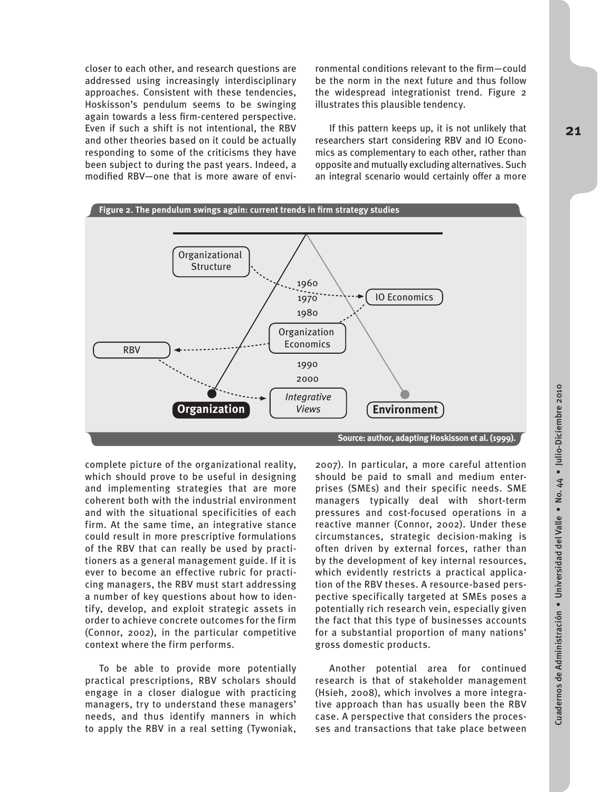closer to each other, and research questions are addressed using increasingly interdisciplinary approaches. Consistent with these tendencies, Hoskisson's pendulum seems to be swinging again towards a less firm-centered perspective. Even if such a shift is not intentional, the RBV and other theories based on it could be actually responding to some of the criticisms they have been subject to during the past years. Indeed, a modified RBV—one that is more aware of envi-

ronmental conditions relevant to the firm—could be the norm in the next future and thus follow the widespread integrationist trend. Figure 2 illustrates this plausible tendency.

If this pattern keeps up, it is not unlikely that researchers start considering RBV and IO Economics as complementary to each other, rather than opposite and mutually excluding alternatives. Such an integral scenario would certainly offer a more



complete picture of the organizational reality, which should prove to be useful in designing and implementing strategies that are more coherent both with the industrial environment and with the situational specificities of each firm. At the same time, an integrative stance could result in more prescriptive formulations of the RBV that can really be used by practitioners as a general management guide. If it is ever to become an effective rubric for practicing managers, the RBV must start addressing a number of key questions about how to identify, develop, and exploit strategic assets in order to achieve concrete outcomes for the firm (Connor, 2002), in the particular competitive context where the firm performs.

To be able to provide more potentially practical prescriptions, RBV scholars should engage in a closer dialogue with practicing managers, try to understand these managers' needs, and thus identify manners in which to apply the RBV in a real setting (Tywoniak,

2007). In particular, a more careful attention should be paid to small and medium enterprises (SMEs) and their specific needs. SME managers typically deal with short-term pressures and cost-focused operations in a reactive manner (Connor, 2002). Under these circumstances, strategic decision-making is often driven by external forces, rather than by the development of key internal resources, which evidently restricts a practical application of the RBV theses. A resource-based perspective specifically targeted at SMEs poses a potentially rich research vein, especially given the fact that this type of businesses accounts for a substantial proportion of many nations' gross domestic products.

Another potential area for continued research is that of stakeholder management (Hsieh, 2008), which involves a more integrative approach than has usually been the RBV case. A perspective that considers the processes and transactions that take place between **21**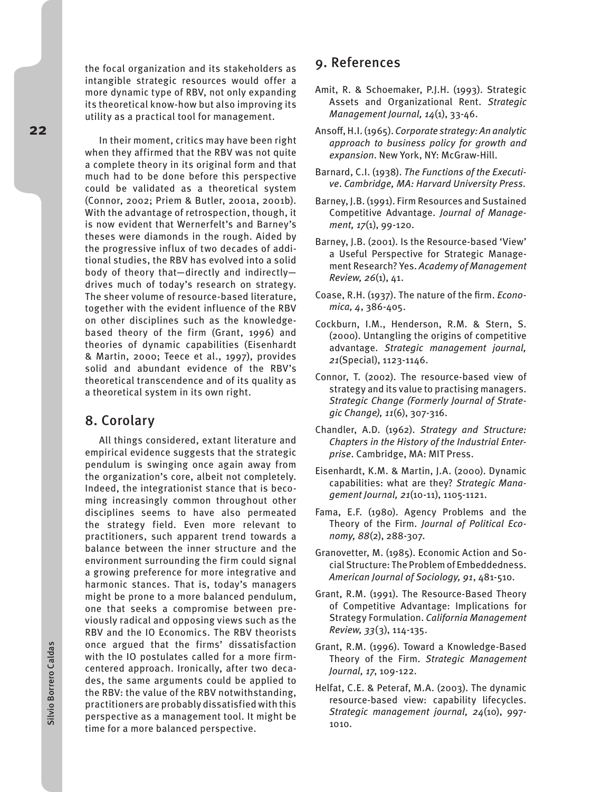the focal organization and its stakeholders as intangible strategic resources would offer a more dynamic type of RBV, not only expanding its theoretical know-how but also improving its utility as a practical tool for management.

In their moment, critics may have been right when they affirmed that the RBV was not quite a complete theory in its original form and that much had to be done before this perspective could be validated as a theoretical system (Connor, 2002; Priem & Butler, 2001a, 2001b). With the advantage of retrospection, though, it is now evident that Wernerfelt's and Barney's theses were diamonds in the rough. Aided by the progressive influx of two decades of additional studies, the RBV has evolved into a solid body of theory that—directly and indirectly drives much of today's research on strategy. The sheer volume of resource-based literature, together with the evident influence of the RBV on other disciplines such as the knowledgebased theory of the firm (Grant, 1996) and theories of dynamic capabilities (Eisenhardt & Martin, 2000; Teece et al., 1997), provides solid and abundant evidence of the RBV's theoretical transcendence and of its quality as a theoretical system in its own right.

# 8. Corolary

All things considered, extant literature and empirical evidence suggests that the strategic pendulum is swinging once again away from the organization's core, albeit not completely. Indeed, the integrationist stance that is becoming increasingly common throughout other disciplines seems to have also permeated the strategy field. Even more relevant to practitioners, such apparent trend towards a balance between the inner structure and the environment surrounding the firm could signal a growing preference for more integrative and harmonic stances. That is, today's managers might be prone to a more balanced pendulum, one that seeks a compromise between previously radical and opposing views such as the RBV and the IO Economics. The RBV theorists once argued that the firms' dissatisfaction with the IO postulates called for a more firmcentered approach. Ironically, after two decades, the same arguments could be applied to the RBV: the value of the RBV notwithstanding, practitioners are probably dissatisfied with this perspective as a management tool. It might be time for a more balanced perspective.

# 9. References

- Amit, R. & Schoemaker, P.J.H. (1993). Strategic Assets and Organizational Rent. *Strategic Management Journal, 14*(1), 33-46.
- Ansoff, H.I. (1965). *Corporate strategy: An analytic approach to business policy for growth and expansion*. New York, NY: McGraw-Hill.
- Barnard, C.I. (1938). *The Functions of the Executive*. *Cambridge, MA: Harvard University Press.*
- Barney, J.B. (1991). Firm Resources and Sustained Competitive Advantage. *Journal of Management, 17*(1), 99-120.
- Barney, J.B. (2001). Is the Resource-based 'View' a Useful Perspective for Strategic Management Research? Yes. *Academy of Management Review, 26*(1), 41.
- Coase, R.H. (1937). The nature of the firm. *Economica, 4*, 386-405.
- Cockburn, I.M., Henderson, R.M. & Stern, S. (2000). Untangling the origins of competitive advantage. *Strategic management journal, 21*(Special), 1123-1146.
- Connor, T. (2002). The resource-based view of strategy and its value to practising managers. *Strategic Change (Formerly Journal of Strategic Change), 11*(6), 307-316.
- Chandler, A.D. (1962). *Strategy and Structure: Chapters in the History of the Industrial Enterprise*. Cambridge, MA: MIT Press.
- Eisenhardt, K.M. & Martin, J.A. (2000). Dynamic capabilities: what are they? *Strategic Management Journal, 21*(10-11), 1105-1121.
- Fama, E.F. (1980). Agency Problems and the Theory of the Firm. *Journal of Political Economy, 88*(2), 288-307.
- Granovetter, M. (1985). Economic Action and Social Structure: The Problem of Embeddedness. *American Journal of Sociology, 91*, 481-510.
- Grant, R.M. (1991). The Resource-Based Theory of Competitive Advantage: Implications for Strategy Formulation. *California Management Review, 33*(3), 114-135.
- Grant, R.M. (1996). Toward a Knowledge-Based Theory of the Firm. *Strategic Management Journal, 17*, 109-122.
- Helfat, C.E. & Peteraf, M.A. (2003). The dynamic resource-based view: capability lifecycles. *Strategic management journal, 24*(10), 997- 1010.